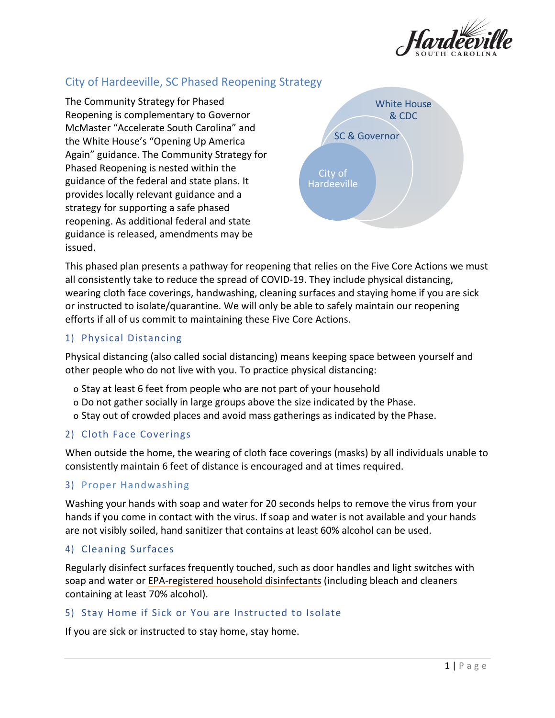

# City of Hardeeville, SC Phased Reopening Strategy

The Community Strategy for Phased Reopening is complementary to Governor McMaster "Accelerate South Carolina" and the White House's "Opening Up America Again" guidance. The Community Strategy for Phased Reopening is nested within the guidance of the federal and state plans. It provides locally relevant guidance and a strategy for supporting a safe phased reopening. As additional federal and state guidance is released, amendments may be issued.



This phased plan presents a pathway for reopening that relies on the Five Core Actions we must all consistently take to reduce the spread of COVID-19. They include physical distancing, wearing cloth face coverings, handwashing, cleaning surfaces and staying home if you are sick or instructed to isolate/quarantine. We will only be able to safely maintain our reopening efforts if all of us commit to maintaining these Five Core Actions.

## 1) Physical Distancing

Physical distancing (also called social distancing) means keeping space between yourself and other people who do not live with you. To practice physical distancing:

- o Stay at least 6 feet from people who are not part of your household
- o Do not gather socially in large groups above the size indicated by the Phase.
- o Stay out of crowded places and avoid mass gatherings as indicated by the Phase.

## 2) Cloth Face Coverings

When outside the home, the wearing of cloth face coverings (masks) by all individuals unable to consistently maintain 6 feet of distance is encouraged and at times required.

## 3) Proper Handwashing

Washing your hands with soap and water for 20 seconds helps to remove the virus from your hands if you come in contact with the virus. If soap and water is not available and your hands are not visibly soiled, hand sanitizer that contains at least 60% alcohol can be used.

## 4) Cleaning Surfaces

Regularly disinfect surfaces frequently touched, such as door handles and light switches with soap and water or [EPA-registered household disinfectants](https://www.epa.gov/pesticide-registration/list-n-disinfectants-use-against-sars-cov-2) (including bleach and cleaners containing at least 70% alcohol).

## 5) Stay Home if Sick or You are Instructed to Isolate

If you are sick or instructed to stay home, stay home.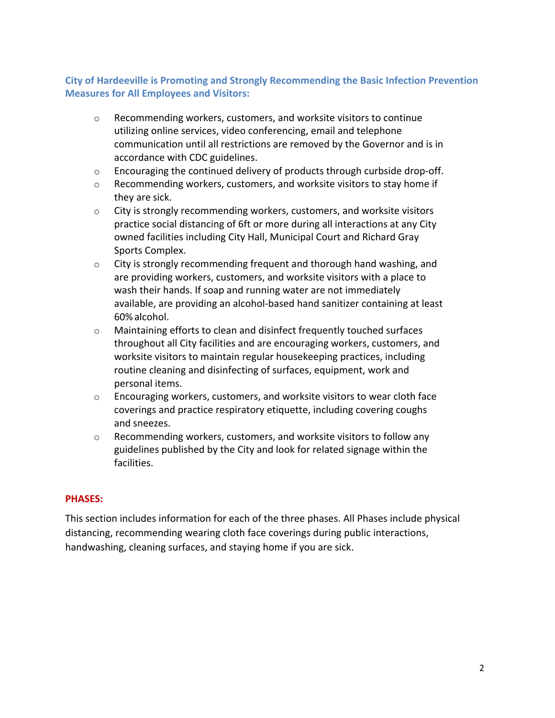## **City of Hardeeville is Promoting and Strongly Recommending the Basic Infection Prevention Measures for All Employees and Visitors:**

- o Recommending workers, customers, and worksite visitors to continue utilizing online services, video conferencing, email and telephone communication until all restrictions are removed by the Governor and is in accordance with CDC guidelines.
- o Encouraging the continued delivery of products through curbside drop-off.
- o Recommending workers, customers, and worksite visitors to stay home if they are sick.
- $\circ$  City is strongly recommending workers, customers, and worksite visitors practice social distancing of 6ft or more during all interactions at any City owned facilities including City Hall, Municipal Court and Richard Gray Sports Complex.
- o City is strongly recommending frequent and thorough hand washing, and are providing workers, customers, and worksite visitors with a place to wash their hands. If soap and running water are not immediately available, are providing an alcohol-based hand sanitizer containing at least 60%alcohol.
- o Maintaining efforts to clean and disinfect frequently touched surfaces throughout all City facilities and are encouraging workers, customers, and worksite visitors to maintain regular housekeeping practices, including routine cleaning and disinfecting of surfaces, equipment, work and personal items.
- $\circ$  Encouraging workers, customers, and worksite visitors to wear cloth face coverings and practice respiratory etiquette, including covering coughs and sneezes.
- o Recommending workers, customers, and worksite visitors to follow any guidelines published by the City and look for related signage within the facilities.

### **PHASES:**

This section includes information for each of the three phases. All Phases include physical distancing, recommending wearing cloth face coverings during public interactions, handwashing, cleaning surfaces, and staying home if you are sick.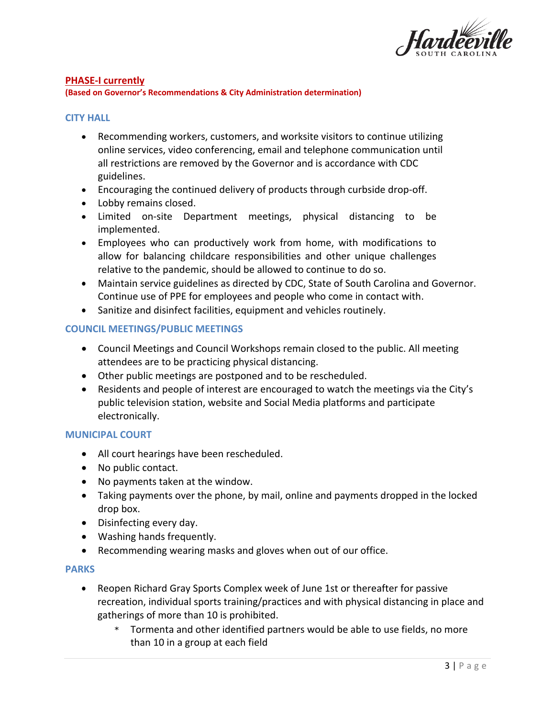

#### **PHASE-I currently**

**(Based on Governor's Recommendations & City Administration determination)**

#### **CITY HALL**

- Recommending workers, customers, and worksite visitors to continue utilizing online services, video conferencing, email and telephone communication until all restrictions are removed by the Governor and is accordance with CDC guidelines.
- Encouraging the continued delivery of products through curbside drop-off.
- Lobby remains closed.
- Limited on-site Department meetings, physical distancing to be implemented.
- Employees who can productively work from home, with modifications to allow for balancing childcare responsibilities and other unique challenges relative to the pandemic, should be allowed to continue to do so.
- Maintain service guidelines as directed by CDC, State of South Carolina and Governor. Continue use of PPE for employees and people who come in contact with.
- Sanitize and disinfect facilities, equipment and vehicles routinely.

#### **COUNCIL MEETINGS/PUBLIC MEETINGS**

- Council Meetings and Council Workshops remain closed to the public. All meeting attendees are to be practicing physical distancing.
- Other public meetings are postponed and to be rescheduled.
- Residents and people of interest are encouraged to watch the meetings via the City's public television station, website and Social Media platforms and participate electronically.

#### **MUNICIPAL COURT**

- All court hearings have been rescheduled.
- No public contact.
- No payments taken at the window.
- Taking payments over the phone, by mail, online and payments dropped in the locked drop box.
- Disinfecting every day.
- Washing hands frequently.
- Recommending wearing masks and gloves when out of our office.

#### **PARKS**

- Reopen Richard Gray Sports Complex week of June 1st or thereafter for passive recreation, individual sports training/practices and with physical distancing in place and gatherings of more than 10 is prohibited.
	- \* Tormenta and other identified partners would be able to use fields, no more than 10 in a group at each field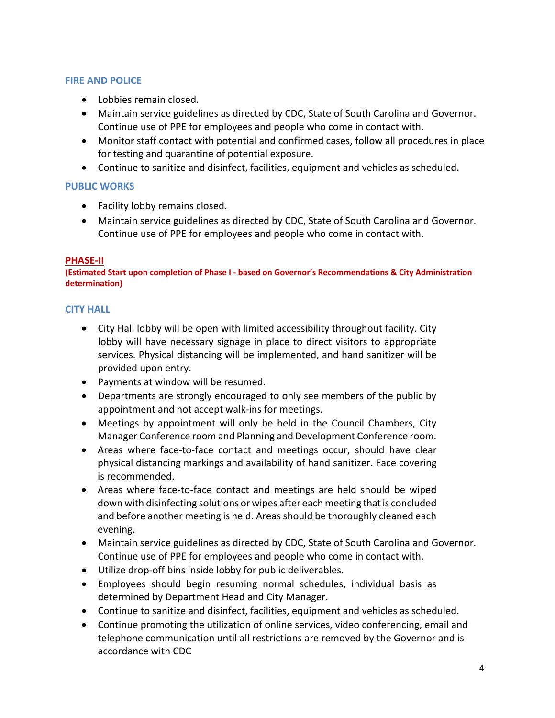### **FIRE AND POLICE**

- Lobbies remain closed.
- Maintain service guidelines as directed by CDC, State of South Carolina and Governor. Continue use of PPE for employees and people who come in contact with.
- Monitor staff contact with potential and confirmed cases, follow all procedures in place for testing and quarantine of potential exposure.
- Continue to sanitize and disinfect, facilities, equipment and vehicles as scheduled.

## **PUBLIC WORKS**

- Facility lobby remains closed.
- Maintain service guidelines as directed by CDC, State of South Carolina and Governor. Continue use of PPE for employees and people who come in contact with.

### **PHASE-II**

**(Estimated Start upon completion of Phase I - based on Governor's Recommendations & City Administration determination)**

## **CITY HALL**

- City Hall lobby will be open with limited accessibility throughout facility. City lobby will have necessary signage in place to direct visitors to appropriate services. Physical distancing will be implemented, and hand sanitizer will be provided upon entry.
- Payments at window will be resumed.
- Departments are strongly encouraged to only see members of the public by appointment and not accept walk-ins for meetings.
- Meetings by appointment will only be held in the Council Chambers, City Manager Conference room and Planning and Development Conference room.
- Areas where face-to-face contact and meetings occur, should have clear physical distancing markings and availability of hand sanitizer. Face covering is recommended.
- Areas where face-to-face contact and meetings are held should be wiped down with disinfecting solutions or wipes after each meeting that is concluded and before another meeting is held. Areas should be thoroughly cleaned each evening.
- Maintain service guidelines as directed by CDC, State of South Carolina and Governor. Continue use of PPE for employees and people who come in contact with.
- Utilize drop-off bins inside lobby for public deliverables.
- Employees should begin resuming normal schedules, individual basis as determined by Department Head and City Manager.
- Continue to sanitize and disinfect, facilities, equipment and vehicles as scheduled.
- Continue promoting the utilization of online services, video conferencing, email and telephone communication until all restrictions are removed by the Governor and is accordance with CDC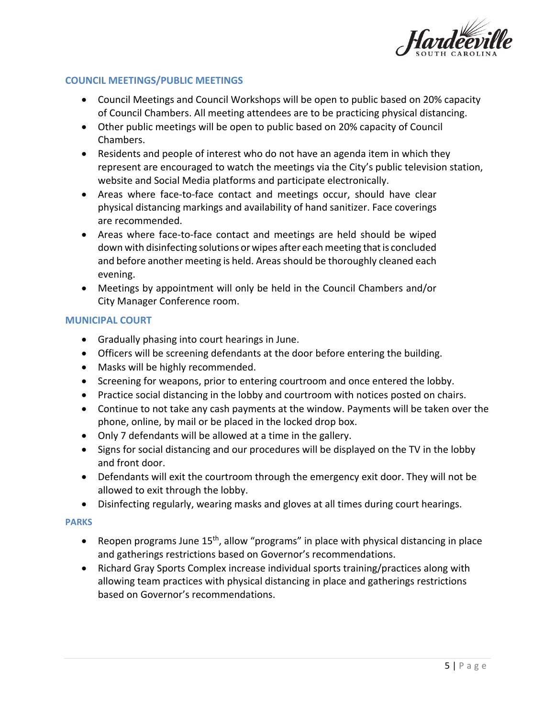

### **COUNCIL MEETINGS/PUBLIC MEETINGS**

- Council Meetings and Council Workshops will be open to public based on 20% capacity of Council Chambers. All meeting attendees are to be practicing physical distancing.
- Other public meetings will be open to public based on 20% capacity of Council Chambers.
- Residents and people of interest who do not have an agenda item in which they represent are encouraged to watch the meetings via the City's public television station, website and Social Media platforms and participate electronically.
- Areas where face-to-face contact and meetings occur, should have clear physical distancing markings and availability of hand sanitizer. Face coverings are recommended.
- Areas where face-to-face contact and meetings are held should be wiped down with disinfecting solutions or wipes after each meeting that is concluded and before another meeting is held. Areas should be thoroughly cleaned each evening.
- Meetings by appointment will only be held in the Council Chambers and/or City Manager Conference room.

### **MUNICIPAL COURT**

- Gradually phasing into court hearings in June.
- Officers will be screening defendants at the door before entering the building.
- Masks will be highly recommended.
- Screening for weapons, prior to entering courtroom and once entered the lobby.
- Practice social distancing in the lobby and courtroom with notices posted on chairs.
- Continue to not take any cash payments at the window. Payments will be taken over the phone, online, by mail or be placed in the locked drop box.
- Only 7 defendants will be allowed at a time in the gallery.
- Signs for social distancing and our procedures will be displayed on the TV in the lobby and front door.
- Defendants will exit the courtroom through the emergency exit door. They will not be allowed to exit through the lobby.
- Disinfecting regularly, wearing masks and gloves at all times during court hearings.

### **PARKS**

- Reopen programs June 15<sup>th</sup>, allow "programs" in place with physical distancing in place and gatherings restrictions based on Governor's recommendations.
- Richard Gray Sports Complex increase individual sports training/practices along with allowing team practices with physical distancing in place and gatherings restrictions based on Governor's recommendations.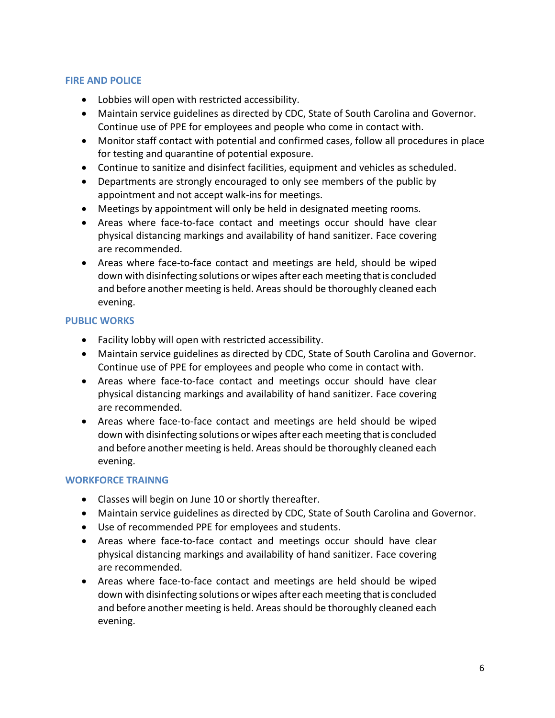### **FIRE AND POLICE**

- Lobbies will open with restricted accessibility.
- Maintain service guidelines as directed by CDC, State of South Carolina and Governor. Continue use of PPE for employees and people who come in contact with.
- Monitor staff contact with potential and confirmed cases, follow all procedures in place for testing and quarantine of potential exposure.
- Continue to sanitize and disinfect facilities, equipment and vehicles as scheduled.
- Departments are strongly encouraged to only see members of the public by appointment and not accept walk-ins for meetings.
- Meetings by appointment will only be held in designated meeting rooms.
- Areas where face-to-face contact and meetings occur should have clear physical distancing markings and availability of hand sanitizer. Face covering are recommended.
- Areas where face-to-face contact and meetings are held, should be wiped down with disinfecting solutions or wipes after each meeting that is concluded and before another meeting is held. Areas should be thoroughly cleaned each evening.

## **PUBLIC WORKS**

- Facility lobby will open with restricted accessibility.
- Maintain service guidelines as directed by CDC, State of South Carolina and Governor. Continue use of PPE for employees and people who come in contact with.
- Areas where face-to-face contact and meetings occur should have clear physical distancing markings and availability of hand sanitizer. Face covering are recommended.
- Areas where face-to-face contact and meetings are held should be wiped down with disinfecting solutions or wipes after each meeting that is concluded and before another meeting is held. Areas should be thoroughly cleaned each evening.

## **WORKFORCE TRAINNG**

- Classes will begin on June 10 or shortly thereafter.
- Maintain service guidelines as directed by CDC, State of South Carolina and Governor.
- Use of recommended PPE for employees and students.
- Areas where face-to-face contact and meetings occur should have clear physical distancing markings and availability of hand sanitizer. Face covering are recommended.
- Areas where face-to-face contact and meetings are held should be wiped down with disinfecting solutions or wipes after each meeting that is concluded and before another meeting is held. Areas should be thoroughly cleaned each evening.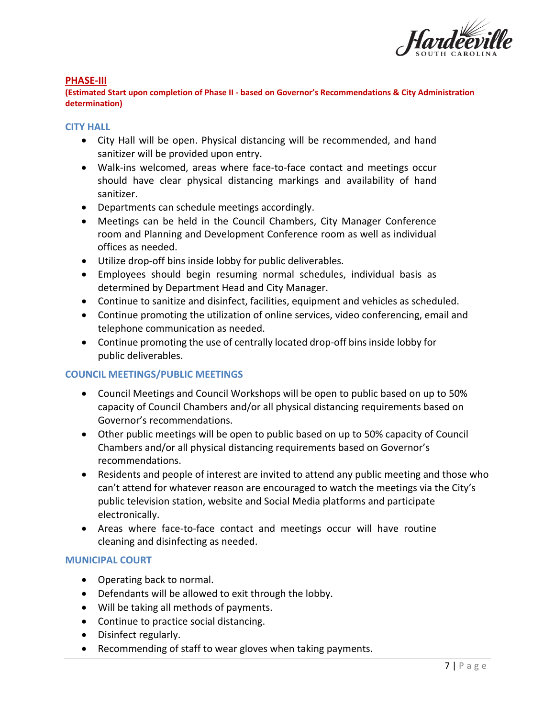

#### **PHASE-III**

**(Estimated Start upon completion of Phase II - based on Governor's Recommendations & City Administration determination)**

#### **CITY HALL**

- City Hall will be open. Physical distancing will be recommended, and hand sanitizer will be provided upon entry.
- Walk-ins welcomed, areas where face-to-face contact and meetings occur should have clear physical distancing markings and availability of hand sanitizer.
- Departments can schedule meetings accordingly.
- Meetings can be held in the Council Chambers, City Manager Conference room and Planning and Development Conference room as well as individual offices as needed.
- Utilize drop-off bins inside lobby for public deliverables.
- Employees should begin resuming normal schedules, individual basis as determined by Department Head and City Manager.
- Continue to sanitize and disinfect, facilities, equipment and vehicles as scheduled.
- Continue promoting the utilization of online services, video conferencing, email and telephone communication as needed.
- Continue promoting the use of centrally located drop-off bins inside lobby for public deliverables.

### **COUNCIL MEETINGS/PUBLIC MEETINGS**

- Council Meetings and Council Workshops will be open to public based on up to 50% capacity of Council Chambers and/or all physical distancing requirements based on Governor's recommendations.
- Other public meetings will be open to public based on up to 50% capacity of Council Chambers and/or all physical distancing requirements based on Governor's recommendations.
- Residents and people of interest are invited to attend any public meeting and those who can't attend for whatever reason are encouraged to watch the meetings via the City's public television station, website and Social Media platforms and participate electronically.
- Areas where face-to-face contact and meetings occur will have routine cleaning and disinfecting as needed.

### **MUNICIPAL COURT**

- Operating back to normal.
- Defendants will be allowed to exit through the lobby.
- Will be taking all methods of payments.
- Continue to practice social distancing.
- Disinfect regularly.
- Recommending of staff to wear gloves when taking payments.